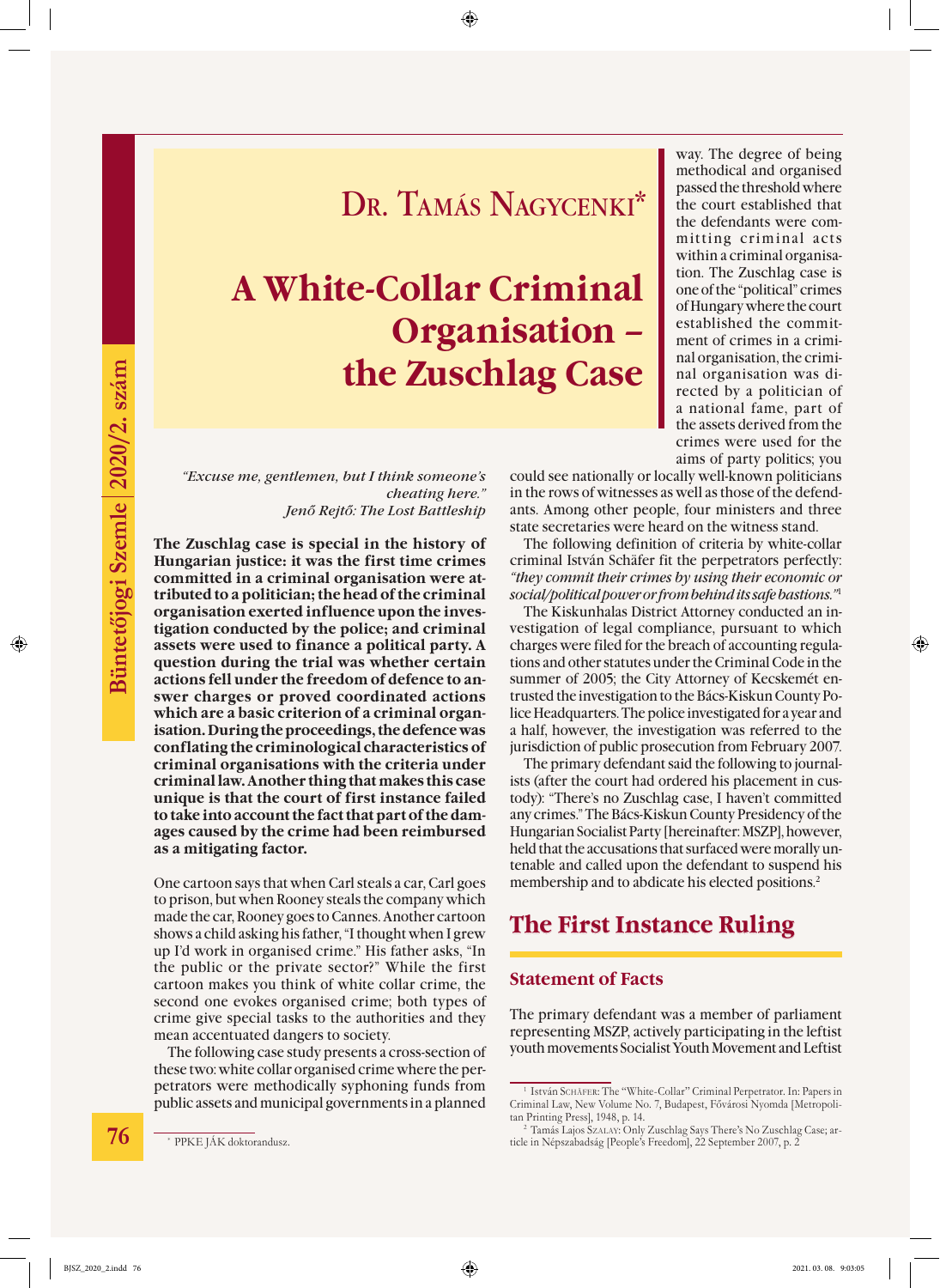## DR. TAMÁS NAGYCENKI\*

# **A White-Collar Criminal Organisation – the Zuschlag Case**

*"Excuse me, gentlemen, but I think someone's cheating here." Jenő Rejtő: The Lost Battleship*

**The Zuschlag case is special in the history of Hungarian justice: it was the first time crimes committed in a criminal organisation were attributed to a politician; the head of the criminal organisation exerted influence upon the investigation conducted by the police; and criminal assets were used to finance a political party. A question during the trial was whether certain actions fell under the freedom of defence to answer charges or proved coordinated actions which are a basic criterion of a criminal organisation. During the proceedings, the defence was conflating the criminological characteristics of criminal organisations with the criteria under criminal law. Another thing that makes this case unique is that the court of first instance failed to take into account the fact that part of the damages caused by the crime had been reimbursed as a mitigating factor.** 

One cartoon says that when Carl steals a car, Carl goes to prison, but when Rooney steals the company which made the car, Rooney goes to Cannes. Another cartoon shows a child asking his father, "I thought when I grew up I'd work in organised crime." His father asks, "In the public or the private sector?" While the first cartoon makes you think of white collar crime, the second one evokes organised crime; both types of crime give special tasks to the authorities and they mean accentuated dangers to society.

The following case study presents a cross-section of these two: white collar organised crime where the perpetrators were methodically syphoning funds from public assets and municipal governments in a planned

way. The degree of being methodical and organised passed the threshold where the court established that the defendants were committing criminal acts within a criminal organisation. The Zuschlag case is one of the "political" crimes of Hungary where the court established the commitment of crimes in a criminal organisation, the criminal organisation was directed by a politician of a national fame, part of the assets derived from the crimes were used for the aims of party politics; you

could see nationally or locally well-known politicians in the rows of witnesses as well as those of the defendants. Among other people, four ministers and three state secretaries were heard on the witness stand.

The following definition of criteria by white-collar criminal István Schäfer fit the perpetrators perfectly: *"they commit their crimes by using their economic or social/political power or from behind its safe bastions."*<sup>1</sup>

The Kiskunhalas District Attorney conducted an investigation of legal compliance, pursuant to which charges were filed for the breach of accounting regulations and other statutes under the Criminal Code in the summer of 2005; the City Attorney of Kecskemét entrusted the investigation to the Bács-Kiskun County Police Headquarters. The police investigated for a year and a half, however, the investigation was referred to the jurisdiction of public prosecution from February 2007.

The primary defendant said the following to journalists (after the court had ordered his placement in custody): "There's no Zuschlag case, I haven't committed any crimes." The Bács-Kiskun County Presidency of the Hungarian Socialist Party [hereinafter: MSZP], however, held that the accusations that surfaced were morally untenable and called upon the defendant to suspend his membership and to abdicate his elected positions.<sup>2</sup>

### **The First Instance Ruling**

#### **Statement of Facts**

The primary defendant was a member of parliament representing MSZP, actively participating in the leftist youth movements Socialist Youth Movement and Leftist

<sup>&</sup>lt;sup>1</sup> István SCHÄFER: The "White-Collar" Criminal Perpetrator. In: Papers in Criminal Law, New Volume No. 7, Budapest, Fővárosi Nyomda [Metropolitan Printing Press], 1948, p. 14.

<sup>2</sup> Tamás Lajos Szalay: Only Zuschlag Says There's No Zuschlag Case; article in Népszabadság [People's Freedom], 22 September 2007, p. 2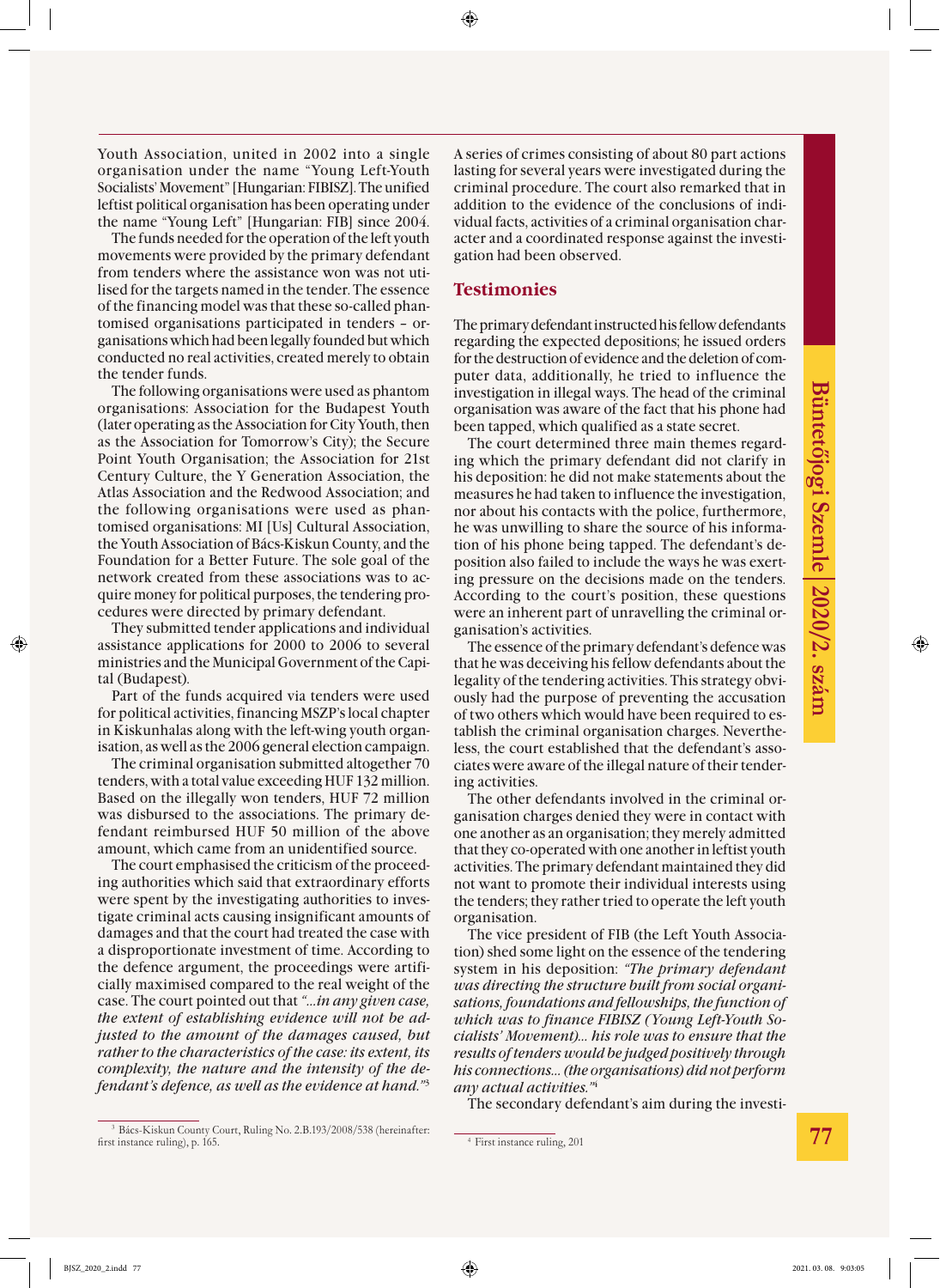Youth Association, united in 2002 into a single organisation under the name "Young Left-Youth Socialists' Movement" [Hungarian: FIBISZ]. The unified leftist political organisation has been operating under the name "Young Left" [Hungarian: FIB] since 2004.

The funds needed for the operation of the left youth movements were provided by the primary defendant from tenders where the assistance won was not utilised for the targets named in the tender. The essence of the financing model was that these so-called phantomised organisations participated in tenders – organisations which had been legally founded but which conducted no real activities, created merely to obtain the tender funds.

The following organisations were used as phantom organisations: Association for the Budapest Youth (later operating as the Association for City Youth, then as the Association for Tomorrow's City); the Secure Point Youth Organisation; the Association for 21st Century Culture, the Y Generation Association, the Atlas Association and the Redwood Association; and the following organisations were used as phantomised organisations: MI [Us] Cultural Association, the Youth Association of Bács-Kiskun County, and the Foundation for a Better Future. The sole goal of the network created from these associations was to acquire money for political purposes, the tendering procedures were directed by primary defendant.

They submitted tender applications and individual assistance applications for 2000 to 2006 to several ministries and the Municipal Government of the Capital (Budapest).

Part of the funds acquired via tenders were used for political activities, financing MSZP's local chapter in Kiskunhalas along with the left-wing youth organisation, as well as the 2006 general election campaign.

The criminal organisation submitted altogether 70 tenders, with a total value exceeding HUF 132 million. Based on the illegally won tenders, HUF 72 million was disbursed to the associations. The primary defendant reimbursed HUF 50 million of the above amount, which came from an unidentified source.

The court emphasised the criticism of the proceeding authorities which said that extraordinary efforts were spent by the investigating authorities to investigate criminal acts causing insignificant amounts of damages and that the court had treated the case with a disproportionate investment of time. According to the defence argument, the proceedings were artificially maximised compared to the real weight of the case. The court pointed out that *"…in any given case, the extent of establishing evidence will not be adjusted to the amount of the damages caused, but rather to the characteristics of the case: its extent, its complexity, the nature and the intensity of the defendant's defence, as well as the evidence at hand."*<sup>3</sup>

A series of crimes consisting of about 80 part actions lasting for several years were investigated during the criminal procedure. The court also remarked that in addition to the evidence of the conclusions of individual facts, activities of a criminal organisation character and a coordinated response against the investigation had been observed.

#### **Testimonies**

The primary defendant instructed his fellow defendants regarding the expected depositions; he issued orders for the destruction of evidence and the deletion of computer data, additionally, he tried to influence the investigation in illegal ways. The head of the criminal organisation was aware of the fact that his phone had been tapped, which qualified as a state secret.

The court determined three main themes regarding which the primary defendant did not clarify in his deposition: he did not make statements about the measures he had taken to influence the investigation, nor about his contacts with the police, furthermore, he was unwilling to share the source of his information of his phone being tapped. The defendant's deposition also failed to include the ways he was exerting pressure on the decisions made on the tenders. According to the court's position, these questions were an inherent part of unravelling the criminal organisation's activities.

The essence of the primary defendant's defence was that he was deceiving his fellow defendants about the legality of the tendering activities. This strategy obviously had the purpose of preventing the accusation of two others which would have been required to establish the criminal organisation charges. Nevertheless, the court established that the defendant's associates were aware of the illegal nature of their tendering activities.

The other defendants involved in the criminal organisation charges denied they were in contact with one another as an organisation; they merely admitted that they co-operated with one another in leftist youth activities. The primary defendant maintained they did not want to promote their individual interests using the tenders; they rather tried to operate the left youth organisation.

The vice president of FIB (the Left Youth Association) shed some light on the essence of the tendering system in his deposition: *"The primary defendant was directing the structure built from social organisations, foundations and fellowships, the function of which was to finance FIBISZ (Young Left-Youth Socialists' Movement)… his role was to ensure that the results of tenders would be judged positively through his connections… (the organisations) did not perform any actual activities."*<sup>4</sup>

The secondary defendant's aim during the investi-

<sup>4</sup> First instance ruling, 201

<sup>3</sup> Bács-Kiskun County Court, Ruling No. 2.B.193/2008/538 (hereinafter: first instance ruling), p. 165.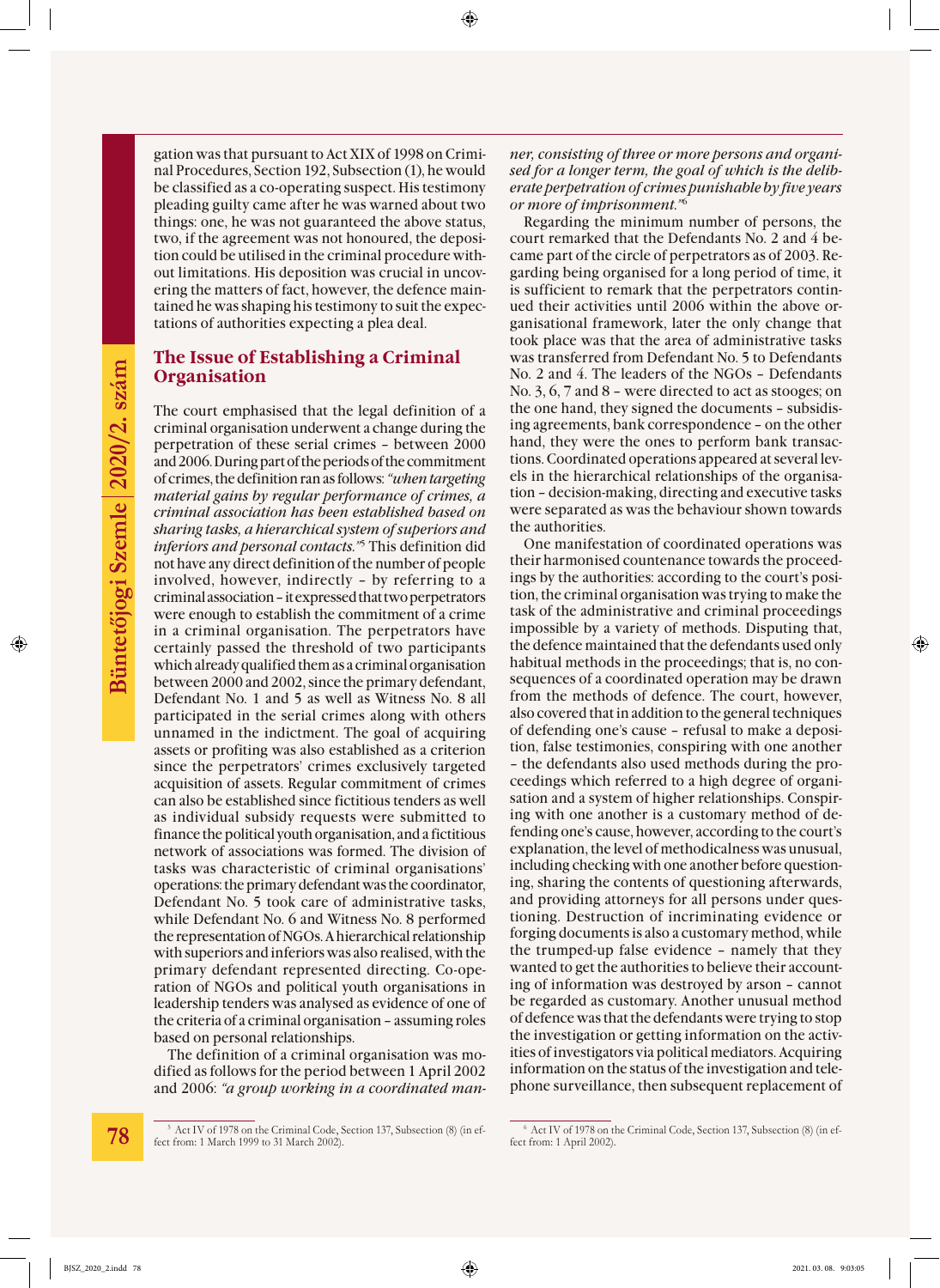pleading guilty came after he was warned about two things: one, he was not guaranteed the above status, two, if the agreement was not honoured, the deposition could be utilised in the criminal procedure without limitations. His deposition was crucial in uncovering the matters of fact, however, the defence maintained he was shaping his testimony to suit the expec-**Organisation**

### tations of authorities expecting a plea deal. **The Issue of Establishing a Criminal**

gation was that pursuant to Act XIX of 1998 on Criminal Procedures, Section 192, Subsection (1), he would be classified as a co-operating suspect. His testimony

The court emphasised that the legal definition of a criminal organisation underwent a change during the perpetration of these serial crimes – between 2000 and 2006. During part of the periods of the commitment of crimes, the definition ran as follows: *"when targeting material gains by regular performance of crimes, a criminal association has been established based on sharing tasks, a hierarchical system of superiors and inferiors and personal contacts."*5 This definition did not have any direct definition of the number of people involved, however, indirectly – by referring to a criminal association – it expressed that two perpetrators were enough to establish the commitment of a crime in a criminal organisation. The perpetrators have certainly passed the threshold of two participants which already qualified them as a criminal organisation between 2000 and 2002, since the primary defendant, Defendant No. 1 and 5 as well as Witness No. 8 all participated in the serial crimes along with others unnamed in the indictment. The goal of acquiring assets or profiting was also established as a criterion since the perpetrators' crimes exclusively targeted acquisition of assets. Regular commitment of crimes can also be established since fictitious tenders as well as individual subsidy requests were submitted to finance the political youth organisation, and a fictitious network of associations was formed. The division of tasks was characteristic of criminal organisations' operations: the primary defendant was the coordinator, Defendant No. 5 took care of administrative tasks, while Defendant No. 6 and Witness No. 8 performed the representation of NGOs. A hierarchical relationship with superiors and inferiors was also realised, with the primary defendant represented directing. Co-operation of NGOs and political youth organisations in leadership tenders was analysed as evidence of one of the criteria of a criminal organisation – assuming roles based on personal relationships.

The definition of a criminal organisation was modified as follows for the period between 1 April 2002 and 2006: *"a group working in a coordinated man-* *ner, consisting of three or more persons and organised for a longer term, the goal of which is the deliberate perpetration of crimes punishable by five years or more of imprisonment."*<sup>6</sup>

Regarding the minimum number of persons, the court remarked that the Defendants No. 2 and 4 became part of the circle of perpetrators as of 2003. Regarding being organised for a long period of time, it is sufficient to remark that the perpetrators continued their activities until 2006 within the above organisational framework, later the only change that took place was that the area of administrative tasks was transferred from Defendant No. 5 to Defendants No. 2 and 4. The leaders of the NGOs – Defendants No. 3, 6, 7 and 8 – were directed to act as stooges; on the one hand, they signed the documents – subsidising agreements, bank correspondence – on the other hand, they were the ones to perform bank transactions. Coordinated operations appeared at several levels in the hierarchical relationships of the organisation – decision-making, directing and executive tasks were separated as was the behaviour shown towards the authorities.

One manifestation of coordinated operations was their harmonised countenance towards the proceedings by the authorities: according to the court's position, the criminal organisation was trying to make the task of the administrative and criminal proceedings impossible by a variety of methods. Disputing that, the defence maintained that the defendants used only habitual methods in the proceedings; that is, no consequences of a coordinated operation may be drawn from the methods of defence. The court, however, also covered that in addition to the general techniques of defending one's cause – refusal to make a deposition, false testimonies, conspiring with one another – the defendants also used methods during the proceedings which referred to a high degree of organisation and a system of higher relationships. Conspiring with one another is a customary method of defending one's cause, however, according to the court's explanation, the level of methodicalness was unusual, including checking with one another before questioning, sharing the contents of questioning afterwards, and providing attorneys for all persons under questioning. Destruction of incriminating evidence or forging documents is also a customary method, while the trumped-up false evidence – namely that they wanted to get the authorities to believe their accounting of information was destroyed by arson – cannot be regarded as customary. Another unusual method of defence was that the defendants were trying to stop the investigation or getting information on the activities of investigators via political mediators. Acquiring information on the status of the investigation and telephone surveillance, then subsequent replacement of

<sup>5</sup> Act IV of 1978 on the Criminal Code, Section 137, Subsection (8) (in effect from: 1 March 1999 to 31 March 2002).

<sup>6</sup> Act IV of 1978 on the Criminal Code, Section 137, Subsection (8) (in effect from: 1 April 2002).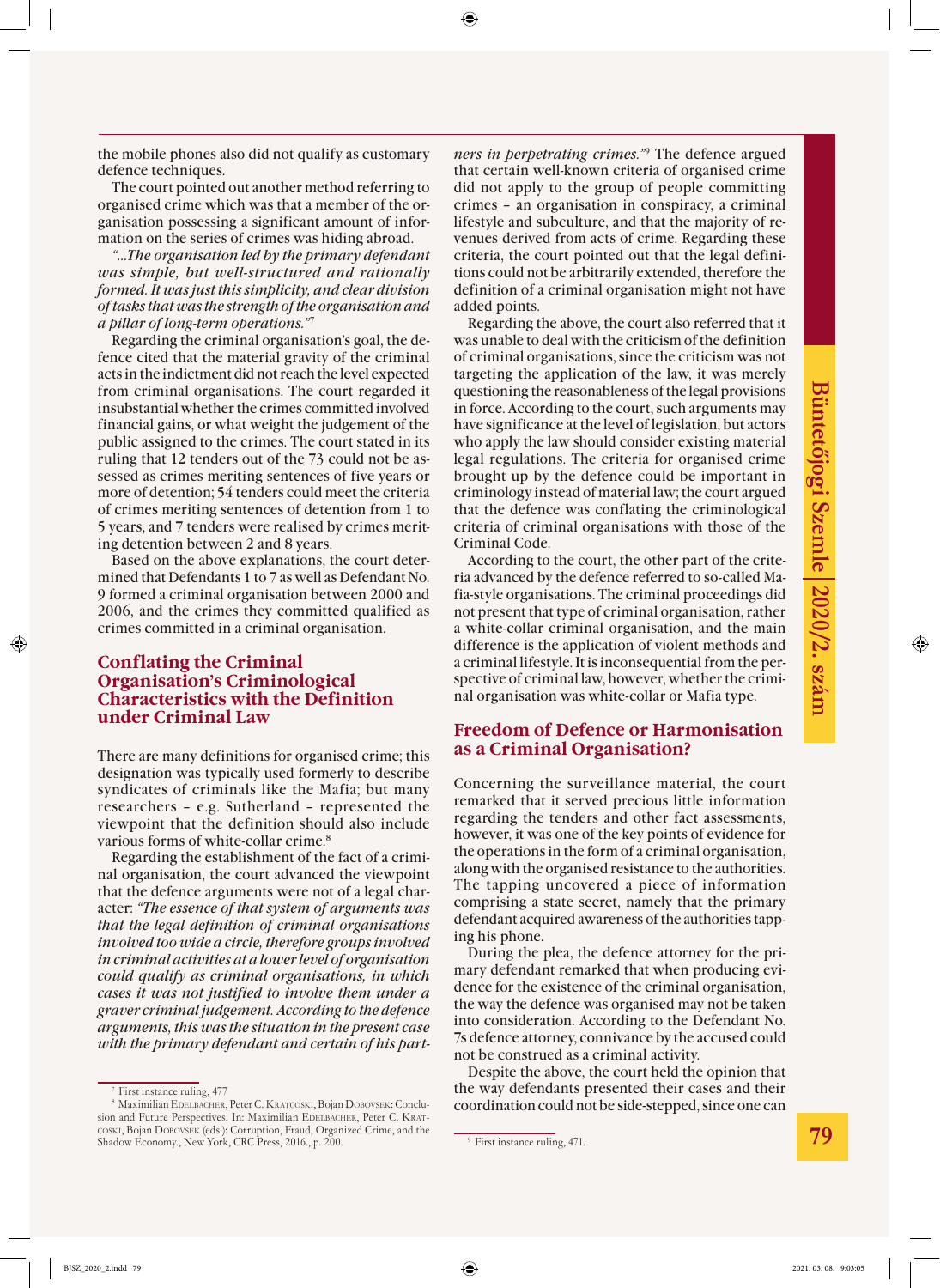the mobile phones also did not qualify as customary defence techniques.

The court pointed out another method referring to organised crime which was that a member of the organisation possessing a significant amount of information on the series of crimes was hiding abroad.

*"…The organisation led by the primary defendant was simple, but well-structured and rationally formed. It was just this simplicity, and clear division of tasks that was the strength of the organisation and a pillar of long-term operations."*<sup>7</sup>

Regarding the criminal organisation's goal, the defence cited that the material gravity of the criminal acts in the indictment did not reach the level expected from criminal organisations. The court regarded it insubstantial whether the crimes committed involved financial gains, or what weight the judgement of the public assigned to the crimes. The court stated in its ruling that 12 tenders out of the 73 could not be assessed as crimes meriting sentences of five years or more of detention; 54 tenders could meet the criteria of crimes meriting sentences of detention from 1 to 5 years, and 7 tenders were realised by crimes meriting detention between 2 and 8 years.

Based on the above explanations, the court determined that Defendants 1 to 7 as well as Defendant No. 9 formed a criminal organisation between 2000 and 2006, and the crimes they committed qualified as crimes committed in a criminal organisation.

#### **Conflating the Criminal Organisation's Criminological Characteristics with the Definition under Criminal Law**

There are many definitions for organised crime; this designation was typically used formerly to describe syndicates of criminals like the Mafia; but many researchers – e.g. Sutherland – represented the viewpoint that the definition should also include various forms of white-collar crime.8

Regarding the establishment of the fact of a criminal organisation, the court advanced the viewpoint that the defence arguments were not of a legal character: *"The essence of that system of arguments was that the legal definition of criminal organisations involved too wide a circle, therefore groups involved in criminal activities at a lower level of organisation could qualify as criminal organisations, in which cases it was not justified to involve them under a graver criminal judgement. According to the defence arguments, this was the situation in the present case with the primary defendant and certain of his part-* *ners in perpetrating crimes."*<sup>9</sup> The defence argued that certain well-known criteria of organised crime did not apply to the group of people committing crimes – an organisation in conspiracy, a criminal lifestyle and subculture, and that the majority of revenues derived from acts of crime. Regarding these criteria, the court pointed out that the legal definitions could not be arbitrarily extended, therefore the definition of a criminal organisation might not have added points.

Regarding the above, the court also referred that it was unable to deal with the criticism of the definition of criminal organisations, since the criticism was not targeting the application of the law, it was merely questioning the reasonableness of the legal provisions in force. According to the court, such arguments may have significance at the level of legislation, but actors who apply the law should consider existing material legal regulations. The criteria for organised crime brought up by the defence could be important in criminology instead of material law; the court argued that the defence was conflating the criminological criteria of criminal organisations with those of the Criminal Code.

According to the court, the other part of the criteria advanced by the defence referred to so-called Mafia-style organisations. The criminal proceedings did not present that type of criminal organisation, rather a white-collar criminal organisation, and the main difference is the application of violent methods and a criminal lifestyle. It is inconsequential from the perspective of criminal law, however, whether the criminal organisation was white-collar or Mafia type.

#### **Freedom of Defence or Harmonisation as a Criminal Organisation?**

Concerning the surveillance material, the court remarked that it served precious little information regarding the tenders and other fact assessments, however, it was one of the key points of evidence for the operations in the form of a criminal organisation, along with the organised resistance to the authorities. The tapping uncovered a piece of information comprising a state secret, namely that the primary defendant acquired awareness of the authorities tapping his phone.

During the plea, the defence attorney for the primary defendant remarked that when producing evidence for the existence of the criminal organisation, the way the defence was organised may not be taken into consideration. According to the Defendant No. 7s defence attorney, connivance by the accused could not be construed as a criminal activity.

Despite the above, the court held the opinion that the way defendants presented their cases and their coordination could not be side-stepped, since one can

<sup>7</sup> First instance ruling, 477

<sup>8</sup> Maximilian Edelbacher, Peter C. Kratcoski, Bojan Dobovsek: Conclusion and Future Perspectives. In: Maximilian EDELBACHER, Peter C. KRATcoski, Bojan Dobovsek (eds.): Corruption, Fraud, Organized Crime, and the Shadow Economy., New York, CRC Press, 2016., p. 200.

<sup>&</sup>lt;sup>9</sup> First instance ruling, 471.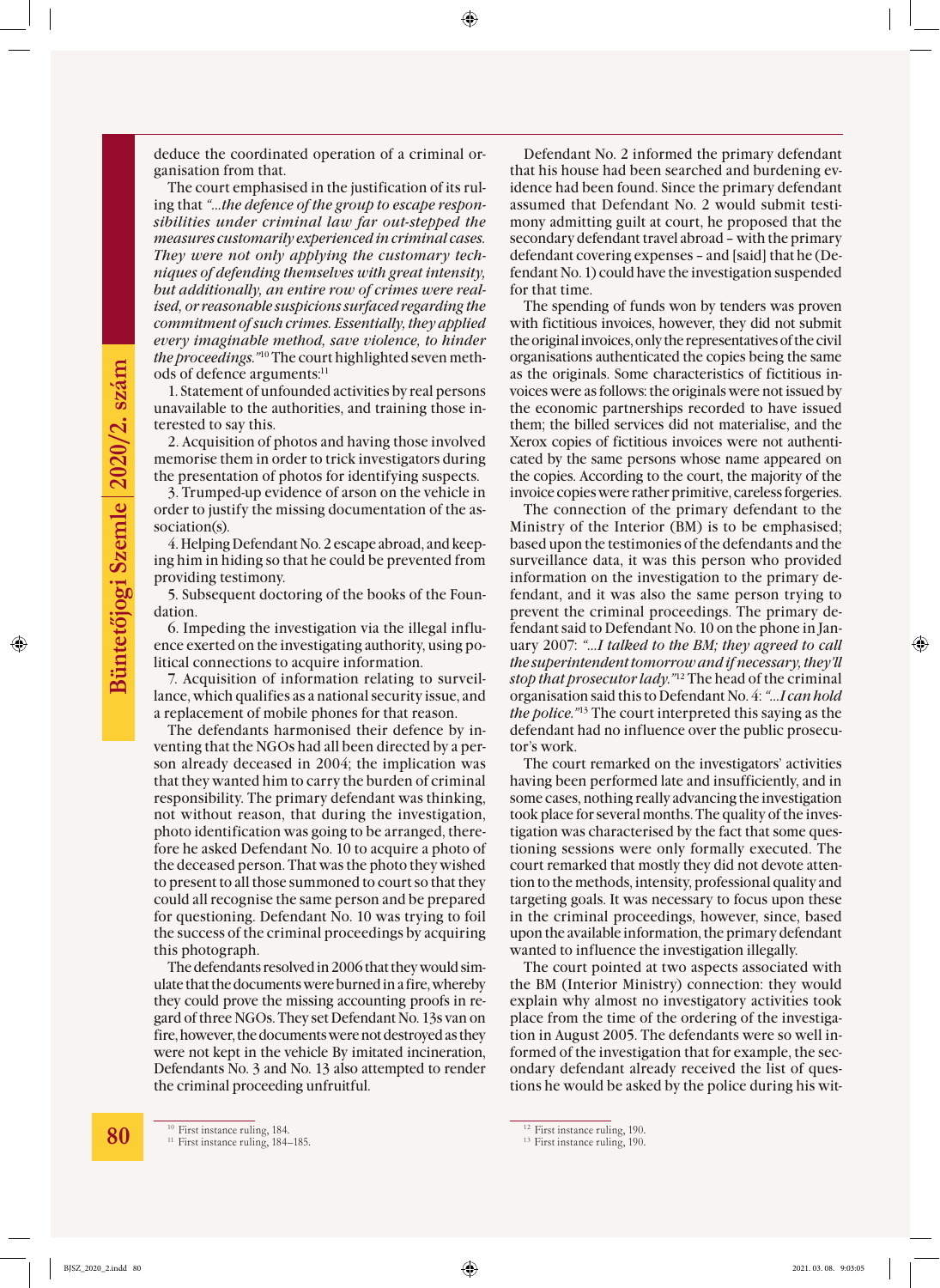deduce the coordinated operation of a criminal organisation from that.

The court emphasised in the justification of its ruling that *"…the defence of the group to escape responsibilities under criminal law far out-stepped the measures customarily experienced in criminal cases. They were not only applying the customary techniques of defending themselves with great intensity, but additionally, an entire row of crimes were realised, or reasonable suspicions surfaced regarding the commitment of such crimes. Essentially, they applied every imaginable method, save violence, to hinder the proceedings."*<sup>10</sup> The court highlighted seven methods of defence arguments:<sup>11</sup>

1. Statement of unfounded activities by real persons unavailable to the authorities, and training those interested to say this.

2. Acquisition of photos and having those involved memorise them in order to trick investigators during the presentation of photos for identifying suspects.

3. Trumped-up evidence of arson on the vehicle in order to justify the missing documentation of the association(s).

4. Helping Defendant No. 2 escape abroad, and keeping him in hiding so that he could be prevented from providing testimony.

5. Subsequent doctoring of the books of the Foundation.

6. Impeding the investigation via the illegal influence exerted on the investigating authority, using political connections to acquire information.

7. Acquisition of information relating to surveillance, which qualifies as a national security issue, and a replacement of mobile phones for that reason.

The defendants harmonised their defence by inventing that the NGOs had all been directed by a person already deceased in 2004; the implication was that they wanted him to carry the burden of criminal responsibility. The primary defendant was thinking, not without reason, that during the investigation, photo identification was going to be arranged, therefore he asked Defendant No. 10 to acquire a photo of the deceased person. That was the photo they wished to present to all those summoned to court so that they could all recognise the same person and be prepared for questioning. Defendant No. 10 was trying to foil the success of the criminal proceedings by acquiring this photograph.

The defendants resolved in 2006 that they would simulate that the documents were burned in a fire, whereby they could prove the missing accounting proofs in regard of three NGOs. They set Defendant No. 13s van on fire, however, the documents were not destroyed as they were not kept in the vehicle By imitated incineration, Defendants No. 3 and No. 13 also attempted to render the criminal proceeding unfruitful.

Defendant No. 2 informed the primary defendant that his house had been searched and burdening evidence had been found. Since the primary defendant assumed that Defendant No. 2 would submit testimony admitting guilt at court, he proposed that the secondary defendant travel abroad – with the primary defendant covering expenses – and [said] that he (Defendant No. 1) could have the investigation suspended for that time.

The spending of funds won by tenders was proven with fictitious invoices, however, they did not submit the original invoices, only the representatives of the civil organisations authenticated the copies being the same as the originals. Some characteristics of fictitious invoices were as follows: the originals were not issued by the economic partnerships recorded to have issued them; the billed services did not materialise, and the Xerox copies of fictitious invoices were not authenticated by the same persons whose name appeared on the copies. According to the court, the majority of the invoice copies were rather primitive, careless forgeries.

The connection of the primary defendant to the Ministry of the Interior (BM) is to be emphasised; based upon the testimonies of the defendants and the surveillance data, it was this person who provided information on the investigation to the primary defendant, and it was also the same person trying to prevent the criminal proceedings. The primary defendant said to Defendant No. 10 on the phone in January 2007: *"…I talked to the BM; they agreed to call the superintendent tomorrow and if necessary, they'll stop that prosecutor lady."*<sup>12</sup> The head of the criminal organisation said this to Defendant No. 4: *"…I can hold the police."*13 The court interpreted this saying as the defendant had no influence over the public prosecutor's work.

The court remarked on the investigators' activities having been performed late and insufficiently, and in some cases, nothing really advancing the investigation took place for several months. The quality of the investigation was characterised by the fact that some questioning sessions were only formally executed. The court remarked that mostly they did not devote attention to the methods, intensity, professional quality and targeting goals. It was necessary to focus upon these in the criminal proceedings, however, since, based upon the available information, the primary defendant wanted to influence the investigation illegally.

The court pointed at two aspects associated with the BM (Interior Ministry) connection: they would explain why almost no investigatory activities took place from the time of the ordering of the investigation in August 2005. The defendants were so well informed of the investigation that for example, the secondary defendant already received the list of questions he would be asked by the police during his wit-

<sup>&</sup>lt;sup>10</sup> First instance ruling, 184. <sup>11</sup> First instance ruling, 184-185.

<sup>&</sup>lt;sup>12</sup> First instance ruling, 190.

<sup>&</sup>lt;sup>13</sup> First instance ruling, 190.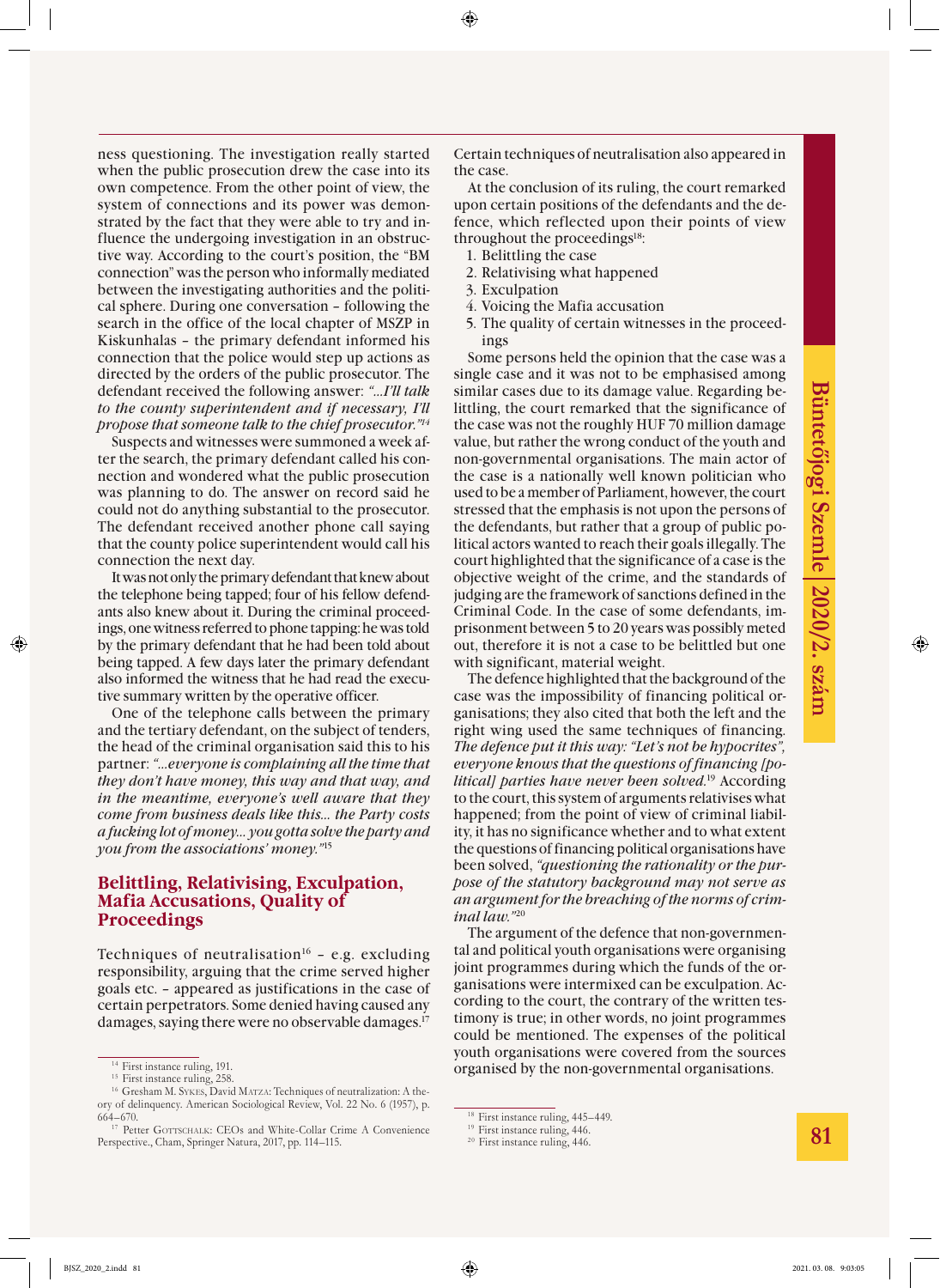ness questioning. The investigation really started when the public prosecution drew the case into its own competence. From the other point of view, the system of connections and its power was demonstrated by the fact that they were able to try and influence the undergoing investigation in an obstructive way. According to the court's position, the "BM connection" was the person who informally mediated between the investigating authorities and the political sphere. During one conversation – following the search in the office of the local chapter of MSZP in Kiskunhalas – the primary defendant informed his connection that the police would step up actions as directed by the orders of the public prosecutor. The defendant received the following answer: *"…I'll talk to the county superintendent and if necessary, I'll propose that someone talk to the chief prosecutor."14*

Suspects and witnesses were summoned a week after the search, the primary defendant called his connection and wondered what the public prosecution was planning to do. The answer on record said he could not do anything substantial to the prosecutor. The defendant received another phone call saying that the county police superintendent would call his connection the next day.

It was not only the primary defendant that knew about the telephone being tapped; four of his fellow defendants also knew about it. During the criminal proceedings, one witness referred to phone tapping: he was told by the primary defendant that he had been told about being tapped. A few days later the primary defendant also informed the witness that he had read the executive summary written by the operative officer.

One of the telephone calls between the primary and the tertiary defendant, on the subject of tenders, the head of the criminal organisation said this to his partner: *"…everyone is complaining all the time that they don't have money, this way and that way, and in the meantime, everyone's well aware that they come from business deals like this… the Party costs a fucking lot of money… you gotta solve the party and you from the associations' money."*<sup>15</sup>

#### **Belittling, Relativising, Exculpation, Mafia Accusations, Quality of Proceedings**

Techniques of neutralisation<sup>16</sup> - e.g. excluding responsibility, arguing that the crime served higher goals etc. – appeared as justifications in the case of certain perpetrators. Some denied having caused any damages, saying there were no observable damages.17

Certain techniques of neutralisation also appeared in the case.

At the conclusion of its ruling, the court remarked upon certain positions of the defendants and the defence, which reflected upon their points of view throughout the proceedings<sup>18</sup>:

- 1. Belittling the case
- 2. Relativising what happened
- 3. Exculpation
- 4. Voicing the Mafia accusation
- 5. The quality of certain witnesses in the proceedings

Some persons held the opinion that the case was a single case and it was not to be emphasised among similar cases due to its damage value. Regarding belittling, the court remarked that the significance of the case was not the roughly HUF 70 million damage value, but rather the wrong conduct of the youth and non-governmental organisations. The main actor of the case is a nationally well known politician who used to be a member of Parliament, however, the court stressed that the emphasis is not upon the persons of the defendants, but rather that a group of public political actors wanted to reach their goals illegally. The court highlighted that the significance of a case is the objective weight of the crime, and the standards of judging are the framework of sanctions defined in the Criminal Code. In the case of some defendants, imprisonment between 5 to 20 years was possibly meted out, therefore it is not a case to be belittled but one with significant, material weight.

The defence highlighted that the background of the case was the impossibility of financing political organisations; they also cited that both the left and the right wing used the same techniques of financing. *The defence put it this way: "Let's not be hypocrites", everyone knows that the questions of financing [political] parties have never been solved.*19 According to the court, this system of arguments relativises what happened; from the point of view of criminal liability, it has no significance whether and to what extent the questions of financing political organisations have been solved, *"questioning the rationality or the purpose of the statutory background may not serve as an argument for the breaching of the norms of criminal law."*<sup>20</sup>

The argument of the defence that non-governmental and political youth organisations were organising joint programmes during which the funds of the organisations were intermixed can be exculpation. According to the court, the contrary of the written testimony is true; in other words, no joint programmes could be mentioned. The expenses of the political youth organisations were covered from the sources organised by the non-governmental organisations.

<sup>&</sup>lt;sup>14</sup> First instance ruling, 191.

<sup>&</sup>lt;sup>15</sup> First instance ruling, 258.

<sup>&</sup>lt;sup>16</sup> Gresham M. SYKES, David MATZA: Techniques of neutralization: A theory of delinquency. American Sociological Review, Vol. 22 No. 6 (1957), p. 664–670.

<sup>&</sup>lt;sup>17</sup> Petter GOTTSCHALK: CEOs and White-Collar Crime A Convenience Perspective., Cham, Springer Natura, 2017, pp. 114–115.

<sup>&</sup>lt;sup>18</sup> First instance ruling, 445-449.

<sup>&</sup>lt;sup>19</sup> First instance ruling, 446.

 $20$  First instance ruling, 446.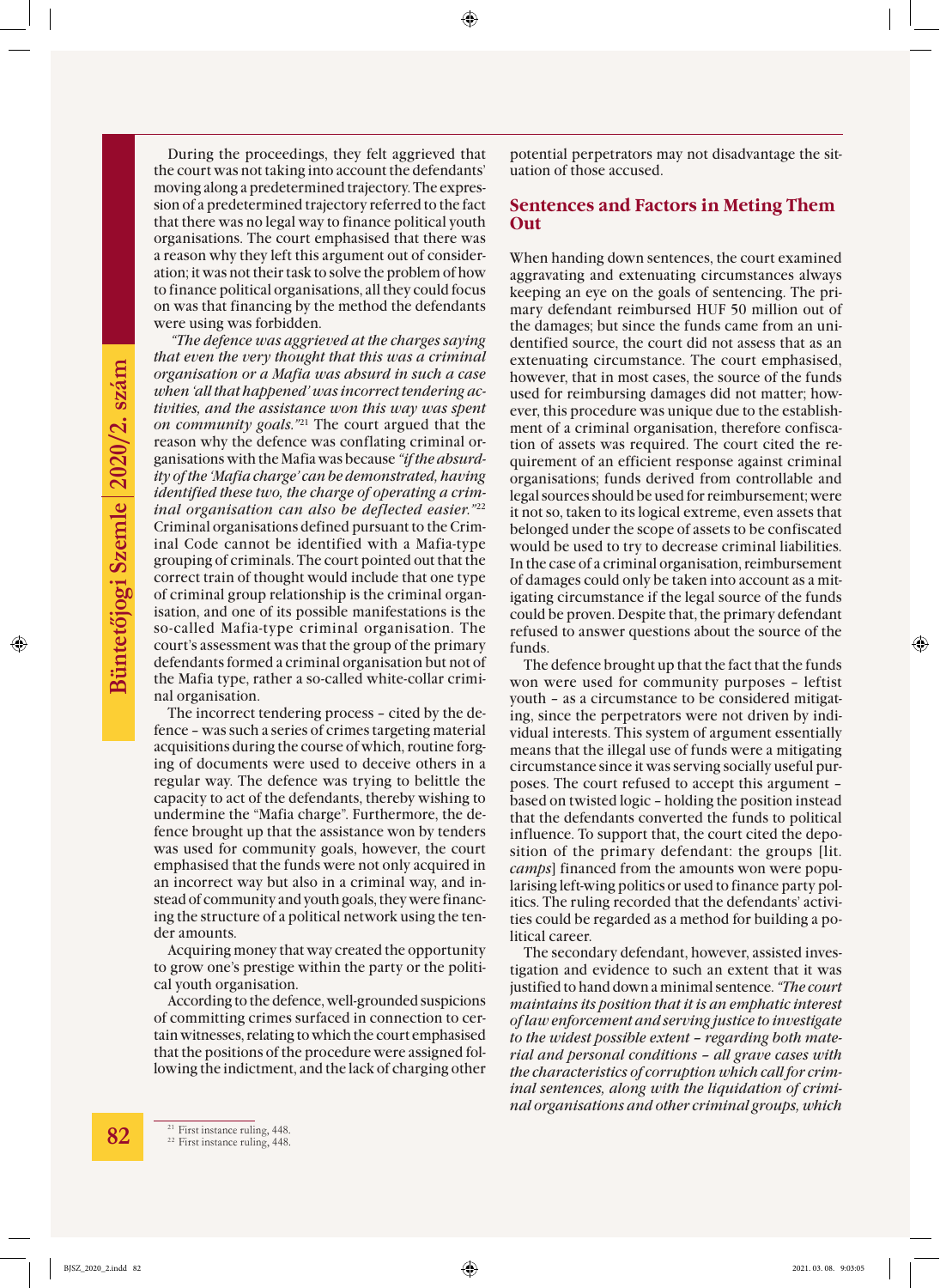During the proceedings, they felt aggrieved that the court was not taking into account the defendants' moving along a predetermined trajectory. The expression of a predetermined trajectory referred to the fact that there was no legal way to finance political youth organisations. The court emphasised that there was a reason why they left this argument out of consideration; it was not their task to solve the problem of how to finance political organisations, all they could focus on was that financing by the method the defendants were using was forbidden.

 *"The defence was aggrieved at the charges saying that even the very thought that this was a criminal organisation or a Mafia was absurd in such a case when 'all that happened' was incorrect tendering activities, and the assistance won this way was spent on community goals."*<sup>21</sup> The court argued that the reason why the defence was conflating criminal organisations with the Mafia was because *"if the absurdity of the 'Mafia charge' can be demonstrated, having identified these two, the charge of operating a criminal organisation can also be deflected easier."*<sup>22</sup> Criminal organisations defined pursuant to the Criminal Code cannot be identified with a Mafia-type grouping of criminals. The court pointed out that the correct train of thought would include that one type of criminal group relationship is the criminal organisation, and one of its possible manifestations is the so-called Mafia-type criminal organisation. The court's assessment was that the group of the primary defendants formed a criminal organisation but not of the Mafia type, rather a so-called white-collar criminal organisation.

The incorrect tendering process – cited by the defence – was such a series of crimes targeting material acquisitions during the course of which, routine forging of documents were used to deceive others in a regular way. The defence was trying to belittle the capacity to act of the defendants, thereby wishing to undermine the "Mafia charge". Furthermore, the defence brought up that the assistance won by tenders was used for community goals, however, the court emphasised that the funds were not only acquired in an incorrect way but also in a criminal way, and instead of community and youth goals, they were financing the structure of a political network using the tender amounts.

Acquiring money that way created the opportunity to grow one's prestige within the party or the political youth organisation.

According to the defence, well-grounded suspicions of committing crimes surfaced in connection to certain witnesses, relating to which the court emphasised that the positions of the procedure were assigned following the indictment, and the lack of charging other

potential perpetrators may not disadvantage the situation of those accused.

#### **Sentences and Factors in Meting Them Out**

When handing down sentences, the court examined aggravating and extenuating circumstances always keeping an eye on the goals of sentencing. The primary defendant reimbursed HUF 50 million out of the damages; but since the funds came from an unidentified source, the court did not assess that as an extenuating circumstance. The court emphasised, however, that in most cases, the source of the funds used for reimbursing damages did not matter; however, this procedure was unique due to the establishment of a criminal organisation, therefore confiscation of assets was required. The court cited the requirement of an efficient response against criminal organisations; funds derived from controllable and legal sources should be used for reimbursement; were it not so, taken to its logical extreme, even assets that belonged under the scope of assets to be confiscated would be used to try to decrease criminal liabilities. In the case of a criminal organisation, reimbursement of damages could only be taken into account as a mitigating circumstance if the legal source of the funds could be proven. Despite that, the primary defendant refused to answer questions about the source of the funds.

The defence brought up that the fact that the funds won were used for community purposes – leftist youth – as a circumstance to be considered mitigating, since the perpetrators were not driven by individual interests. This system of argument essentially means that the illegal use of funds were a mitigating circumstance since it was serving socially useful purposes. The court refused to accept this argument – based on twisted logic – holding the position instead that the defendants converted the funds to political influence. To support that, the court cited the deposition of the primary defendant: the groups [lit. *camps*] financed from the amounts won were popularising left-wing politics or used to finance party politics. The ruling recorded that the defendants' activities could be regarded as a method for building a political career.

The secondary defendant, however, assisted investigation and evidence to such an extent that it was justified to hand down a minimal sentence. *"The court maintains its position that it is an emphatic interest of law enforcement and serving justice to investigate to the widest possible extent – regarding both material and personal conditions – all grave cases with the characteristics of corruption which call for criminal sentences, along with the liquidation of criminal organisations and other criminal groups, which*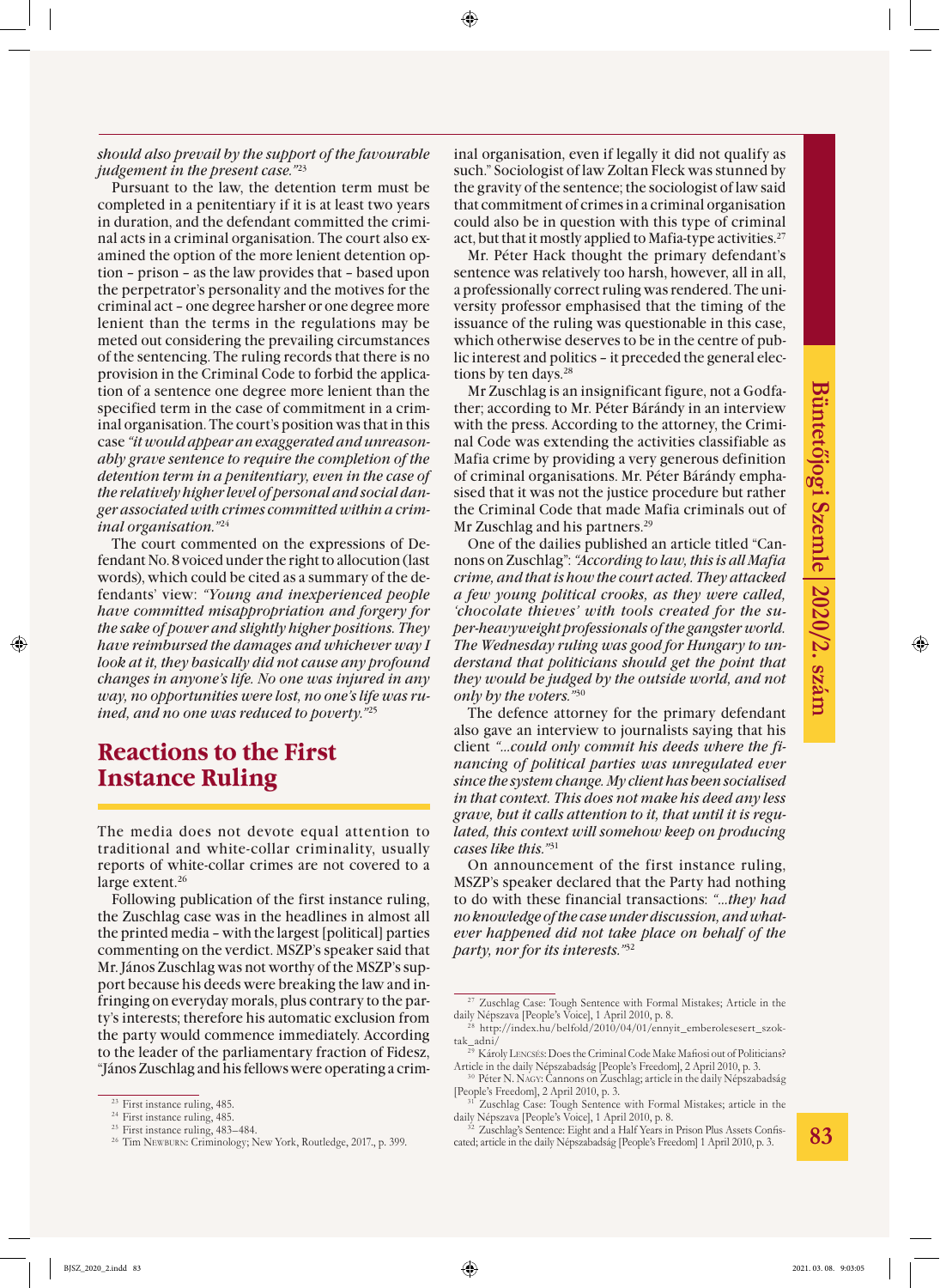#### *should also prevail by the support of the favourable judgement in the present case."*<sup>23</sup>

Pursuant to the law, the detention term must be completed in a penitentiary if it is at least two years in duration, and the defendant committed the criminal acts in a criminal organisation. The court also examined the option of the more lenient detention option – prison – as the law provides that – based upon the perpetrator's personality and the motives for the criminal act – one degree harsher or one degree more lenient than the terms in the regulations may be meted out considering the prevailing circumstances of the sentencing. The ruling records that there is no provision in the Criminal Code to forbid the application of a sentence one degree more lenient than the specified term in the case of commitment in a criminal organisation. The court's position was that in this case *"it would appear an exaggerated and unreasonably grave sentence to require the completion of the detention term in a penitentiary, even in the case of the relatively higher level of personal and social danger associated with crimes committed within a criminal organisation."*<sup>24</sup>

The court commented on the expressions of Defendant No. 8 voiced under the right to allocution (last words), which could be cited as a summary of the defendants' view: *"Young and inexperienced people have committed misappropriation and forgery for the sake of power and slightly higher positions. They have reimbursed the damages and whichever way I look at it, they basically did not cause any profound changes in anyone's life. No one was injured in any way, no opportunities were lost, no one's life was ruined, and no one was reduced to poverty."*<sup>25</sup>

### **Reactions to the First Instance Ruling**

The media does not devote equal attention to traditional and white-collar criminality, usually reports of white-collar crimes are not covered to a large extent.<sup>26</sup>

Following publication of the first instance ruling, the Zuschlag case was in the headlines in almost all the printed media – with the largest [political] parties commenting on the verdict. MSZP's speaker said that Mr. János Zuschlag was not worthy of the MSZP's support because his deeds were breaking the law and infringing on everyday morals, plus contrary to the party's interests; therefore his automatic exclusion from the party would commence immediately. According to the leader of the parliamentary fraction of Fidesz, "János Zuschlag and his fellows were operating a criminal organisation, even if legally it did not qualify as such." Sociologist of law Zoltan Fleck was stunned by the gravity of the sentence; the sociologist of law said that commitment of crimes in a criminal organisation could also be in question with this type of criminal act, but that it mostly applied to Mafia-type activities.<sup>27</sup>

Mr. Péter Hack thought the primary defendant's sentence was relatively too harsh, however, all in all, a professionally correct ruling was rendered. The university professor emphasised that the timing of the issuance of the ruling was questionable in this case, which otherwise deserves to be in the centre of public interest and politics – it preceded the general elections by ten days.<sup>28</sup>

Mr Zuschlag is an insignificant figure, not a Godfather; according to Mr. Péter Bárándy in an interview with the press. According to the attorney, the Criminal Code was extending the activities classifiable as Mafia crime by providing a very generous definition of criminal organisations. Mr. Péter Bárándy emphasised that it was not the justice procedure but rather the Criminal Code that made Mafia criminals out of Mr Zuschlag and his partners.<sup>29</sup>

One of the dailies published an article titled "Cannons on Zuschlag": *"According to law, this is all Mafia crime, and that is how the court acted. They attacked a few young political crooks, as they were called, 'chocolate thieves' with tools created for the super-heavyweight professionals of the gangster world. The Wednesday ruling was good for Hungary to understand that politicians should get the point that they would be judged by the outside world, and not only by the voters."*<sup>30</sup>

The defence attorney for the primary defendant also gave an interview to journalists saying that his client *"…could only commit his deeds where the financing of political parties was unregulated ever since the system change. My client has been socialised in that context. This does not make his deed any less grave, but it calls attention to it, that until it is regulated, this context will somehow keep on producing cases like this."*<sup>31</sup>

On announcement of the first instance ruling, MSZP's speaker declared that the Party had nothing to do with these financial transactions: *"…they had no knowledge of the case under discussion, and whatever happened did not take place on behalf of the party, nor for its interests."*<sup>32</sup>

<sup>&</sup>lt;sup>23</sup> First instance ruling, 485.

<sup>&</sup>lt;sup>24</sup> First instance ruling, 485.

 $25$  First instance ruling, 483-484.

<sup>&</sup>lt;sup>26</sup> Tim Newburn: Criminology; New York, Routledge, 2017., p. 399.

<sup>&</sup>lt;sup>27</sup> Zuschlag Case: Tough Sentence with Formal Mistakes; Article in the daily Népszava [People's Voice], 1 April 2010, p. 8.

 $^{28}$  http://index.hu/belfold/2010/04/01/ennyit\_emberolesesert\_szoktak\_adni/

<sup>&</sup>lt;sup>29</sup> Károly LENCSÉS: Does the Criminal Code Make Mafiosi out of Politicians? Article in the daily Népszabadság [People's Freedom], 2 April 2010, p. 3.

<sup>&</sup>lt;sup>30</sup> Péter N. NAGY: Cannons on Zuschlag; article in the daily Népszabadság [People's Freedom], 2 April 2010, p. 3.

<sup>&</sup>lt;sup>31</sup> Zuschlag Case: Tough Sentence with Formal Mistakes; article in the daily Népszava [People's Voice], 1 April 2010, p. 8.

<sup>&</sup>lt;sup>32</sup> Zuschlag's Sentence: Eight and a Half Years in Prison Plus Assets Confiscated; article in the daily Népszabadság [People's Freedom] 1 April 2010, p. 3.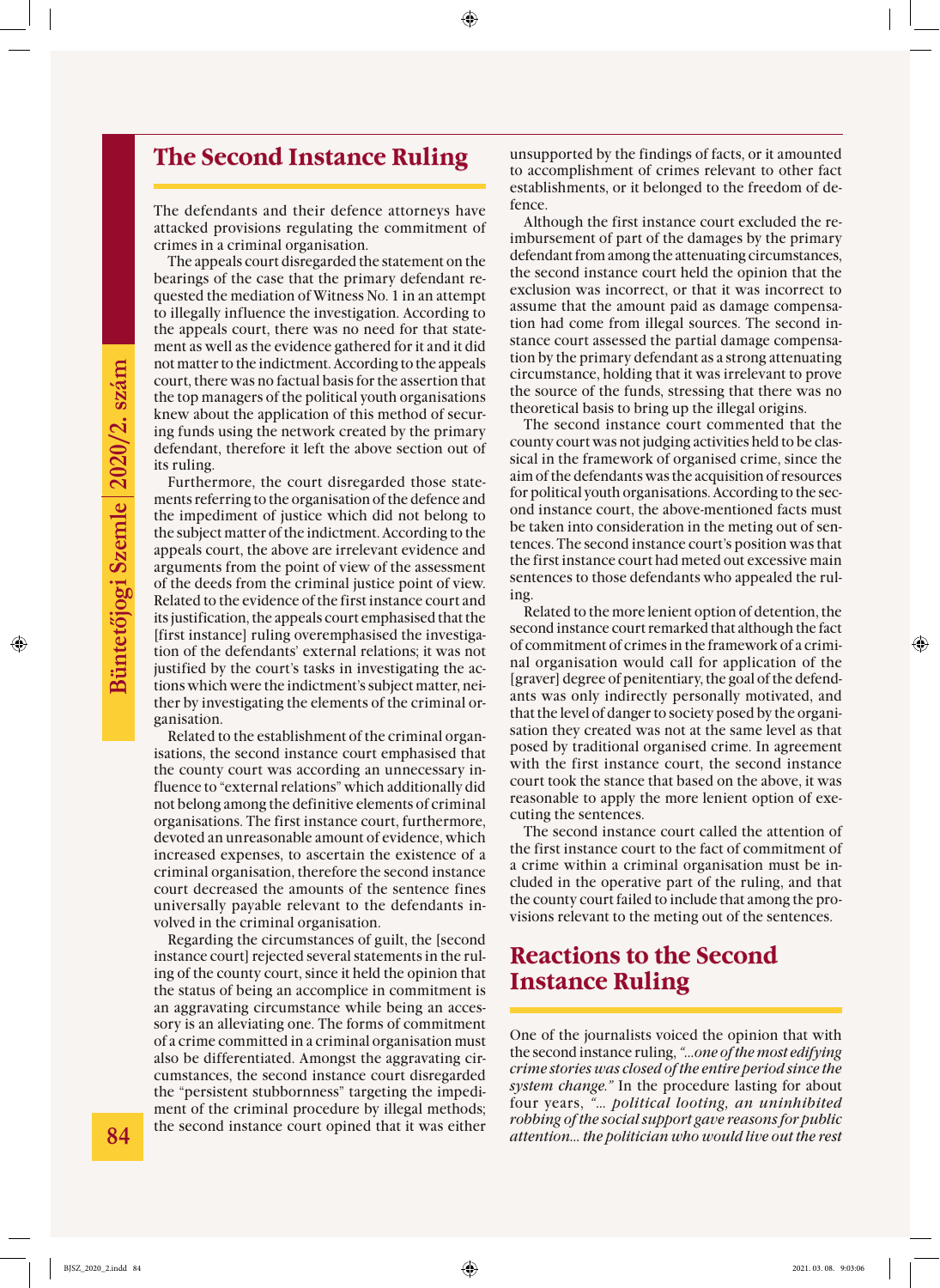### **The Second Instance Ruling**

The defendants and their defence attorneys have attacked provisions regulating the commitment of crimes in a criminal organisation.

The appeals court disregarded the statement on the bearings of the case that the primary defendant requested the mediation of Witness No. 1 in an attempt to illegally influence the investigation. According to the appeals court, there was no need for that statement as well as the evidence gathered for it and it did not matter to the indictment. According to the appeals court, there was no factual basis for the assertion that the top managers of the political youth organisations knew about the application of this method of securing funds using the network created by the primary defendant, therefore it left the above section out of its ruling.

Furthermore, the court disregarded those statements referring to the organisation of the defence and the impediment of justice which did not belong to the subject matter of the indictment. According to the appeals court, the above are irrelevant evidence and arguments from the point of view of the assessment of the deeds from the criminal justice point of view. Related to the evidence of the first instance court and its justification, the appeals court emphasised that the [first instance] ruling overemphasised the investigation of the defendants' external relations; it was not justified by the court's tasks in investigating the actions which were the indictment's subject matter, neither by investigating the elements of the criminal organisation.

Related to the establishment of the criminal organisations, the second instance court emphasised that the county court was according an unnecessary influence to "external relations" which additionally did not belong among the definitive elements of criminal organisations. The first instance court, furthermore, devoted an unreasonable amount of evidence, which increased expenses, to ascertain the existence of a criminal organisation, therefore the second instance court decreased the amounts of the sentence fines universally payable relevant to the defendants involved in the criminal organisation.

Regarding the circumstances of guilt, the [second instance court] rejected several statements in the ruling of the county court, since it held the opinion that the status of being an accomplice in commitment is an aggravating circumstance while being an accessory is an alleviating one. The forms of commitment of a crime committed in a criminal organisation must also be differentiated. Amongst the aggravating circumstances, the second instance court disregarded the "persistent stubbornness" targeting the impediment of the criminal procedure by illegal methods; the second instance court opined that it was either

unsupported by the findings of facts, or it amounted to accomplishment of crimes relevant to other fact establishments, or it belonged to the freedom of defence.

Although the first instance court excluded the reimbursement of part of the damages by the primary defendant from among the attenuating circumstances, the second instance court held the opinion that the exclusion was incorrect, or that it was incorrect to assume that the amount paid as damage compensation had come from illegal sources. The second instance court assessed the partial damage compensation by the primary defendant as a strong attenuating circumstance, holding that it was irrelevant to prove the source of the funds, stressing that there was no theoretical basis to bring up the illegal origins.

The second instance court commented that the county court was not judging activities held to be classical in the framework of organised crime, since the aim of the defendants was the acquisition of resources for political youth organisations. According to the second instance court, the above-mentioned facts must be taken into consideration in the meting out of sentences. The second instance court's position was that the first instance court had meted out excessive main sentences to those defendants who appealed the ruling.

Related to the more lenient option of detention, the second instance court remarked that although the fact of commitment of crimes in the framework of a criminal organisation would call for application of the [graver] degree of penitentiary, the goal of the defendants was only indirectly personally motivated, and that the level of danger to society posed by the organisation they created was not at the same level as that posed by traditional organised crime. In agreement with the first instance court, the second instance court took the stance that based on the above, it was reasonable to apply the more lenient option of executing the sentences.

The second instance court called the attention of the first instance court to the fact of commitment of a crime within a criminal organisation must be included in the operative part of the ruling, and that the county court failed to include that among the provisions relevant to the meting out of the sentences.

### **Reactions to the Second Instance Ruling**

One of the journalists voiced the opinion that with the second instance ruling, *"…one of the most edifying crime stories was closed of the entire period since the system change."* In the procedure lasting for about four years, *"… political looting, an uninhibited robbing of the social support gave reasons for public attention… the politician who would live out the rest*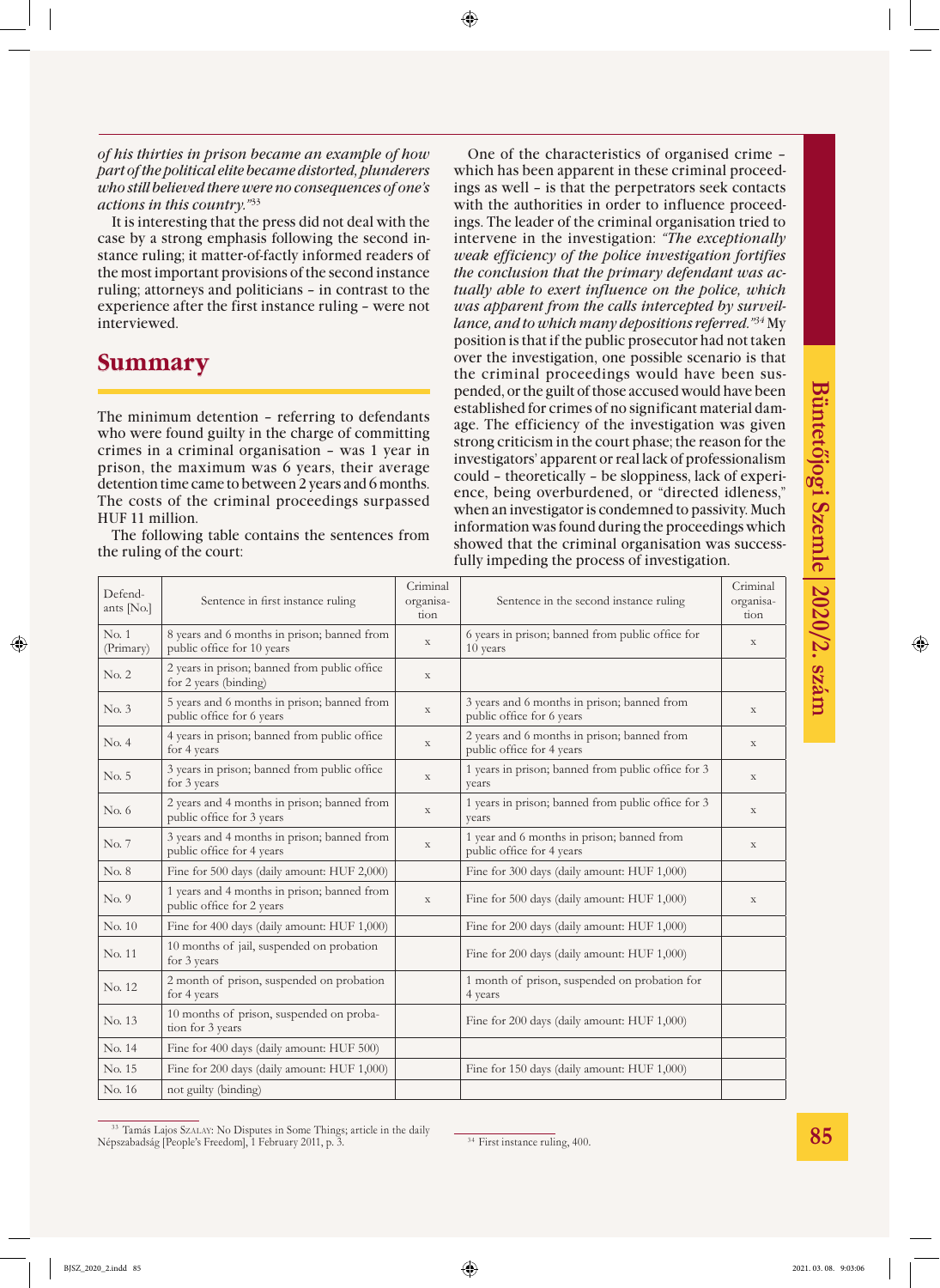*of his thirties in prison became an example of how part of the political elite became distorted, plunderers who still believed there were no consequences of one's actions in this country."*<sup>33</sup>

It is interesting that the press did not deal with the case by a strong emphasis following the second instance ruling; it matter-of-factly informed readers of the most important provisions of the second instance ruling; attorneys and politicians – in contrast to the experience after the first instance ruling – were not interviewed.

### **Summary**

The minimum detention – referring to defendants who were found guilty in the charge of committing crimes in a criminal organisation – was 1 year in prison, the maximum was 6 years, their average detention time came to between 2 years and 6 months. The costs of the criminal proceedings surpassed HUF 11 million.

The following table contains the sentences from the ruling of the court:

One of the characteristics of organised crime – which has been apparent in these criminal proceedings as well – is that the perpetrators seek contacts with the authorities in order to influence proceedings. The leader of the criminal organisation tried to intervene in the investigation: *"The exceptionally weak efficiency of the police investigation fortifies the conclusion that the primary defendant was actually able to exert influence on the police, which was apparent from the calls intercepted by surveillance, and to which many depositions referred."34* My position is that if the public prosecutor had not taken over the investigation, one possible scenario is that the criminal proceedings would have been suspended, or the guilt of those accused would have been established for crimes of no significant material damage. The efficiency of the investigation was given strong criticism in the court phase; the reason for the investigators' apparent or real lack of professionalism could – theoretically – be sloppiness, lack of experience, being overburdened, or "directed idleness," when an investigator is condemned to passivity. Much information was found during the proceedings which showed that the criminal organisation was successfully impeding the process of investigation.

| Defend-<br>ants [No.] | Sentence in first instance ruling                                         | Criminal<br>organisa-<br>tion | Sentence in the second instance ruling                                   | Criminal<br>organisa-<br>tion |
|-----------------------|---------------------------------------------------------------------------|-------------------------------|--------------------------------------------------------------------------|-------------------------------|
| No.1<br>(Primary)     | 8 years and 6 months in prison; banned from<br>public office for 10 years | X                             | 6 years in prison; banned from public office for<br>10 years             | X                             |
| No. 2                 | 2 years in prison; banned from public office<br>for 2 years (binding)     | X                             |                                                                          |                               |
| No. 3                 | 5 years and 6 months in prison; banned from<br>public office for 6 years  | $\mathbf X$                   | 3 years and 6 months in prison; banned from<br>public office for 6 years | X                             |
| No. 4                 | 4 years in prison; banned from public office<br>for 4 years               | $\mathbf X$                   | 2 years and 6 months in prison; banned from<br>public office for 4 years | $\mathbf X$                   |
| No. 5                 | 3 years in prison; banned from public office<br>for 3 years               | $\mathbf X$                   | 1 years in prison; banned from public office for 3<br>years              | $\mathbf X$                   |
| No. 6                 | 2 years and 4 months in prison; banned from<br>public office for 3 years  | $\mathbf X$                   | 1 years in prison; banned from public office for 3<br>years              | $\mathbf X$                   |
| No. 7                 | 3 years and 4 months in prison; banned from<br>public office for 4 years  | $\mathbf X$                   | 1 year and 6 months in prison; banned from<br>public office for 4 years  | X                             |
| No. 8                 | Fine for 500 days (daily amount: HUF 2,000)                               |                               | Fine for 300 days (daily amount: HUF 1,000)                              |                               |
| No. 9                 | 1 years and 4 months in prison; banned from<br>public office for 2 years  | $\mathbf X$                   | Fine for 500 days (daily amount: HUF 1,000)                              | $\mathbf X$                   |
| No. 10                | Fine for 400 days (daily amount: HUF 1,000)                               |                               | Fine for 200 days (daily amount: HUF 1,000)                              |                               |
| No. 11                | 10 months of jail, suspended on probation<br>for 3 years                  |                               | Fine for 200 days (daily amount: HUF 1,000)                              |                               |
| No. 12                | 2 month of prison, suspended on probation<br>for 4 years                  |                               | 1 month of prison, suspended on probation for<br>4 years                 |                               |
| No. 13                | 10 months of prison, suspended on proba-<br>tion for 3 years              |                               | Fine for 200 days (daily amount: HUF 1,000)                              |                               |
| No. 14                | Fine for 400 days (daily amount: HUF 500)                                 |                               |                                                                          |                               |
| No. 15                | Fine for 200 days (daily amount: HUF 1,000)                               |                               | Fine for 150 days (daily amount: HUF 1,000)                              |                               |
| No. 16                | not guilty (binding)                                                      |                               |                                                                          |                               |

<sup>&</sup>lt;sup>33</sup> Tamás Lajos SzALAY: No Disputes in Some Things; article in the daily Népszabadság [People's Freedom], 1 February 2011, p. 3.

<sup>&</sup>lt;sup>34</sup> First instance ruling, 400.